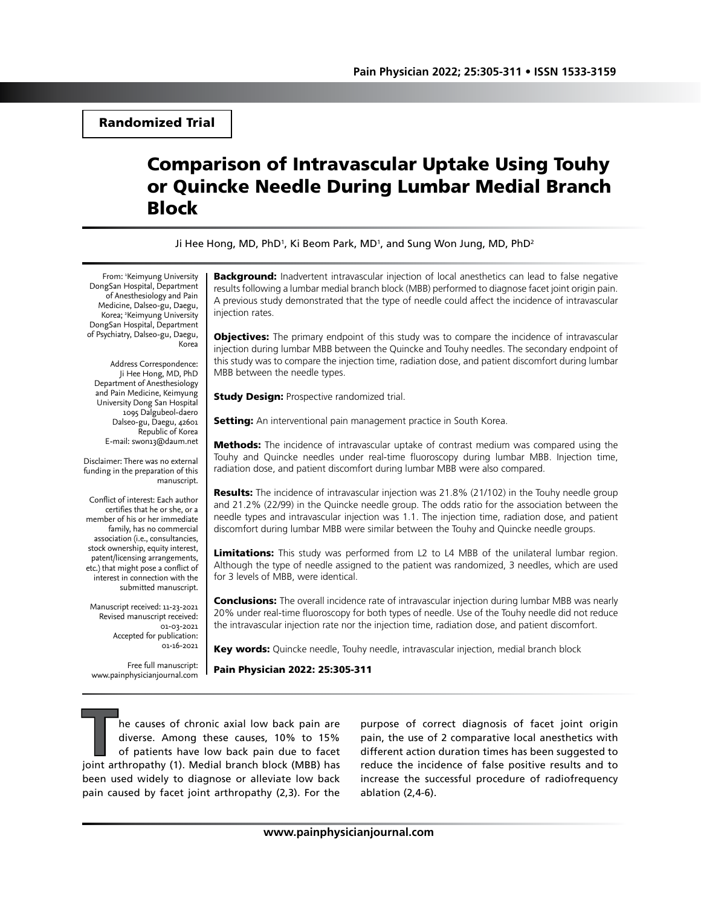Randomized Trial

# Comparison of Intravascular Uptake Using Touhy or Quincke Needle During Lumbar Medial Branch Block

Ji Hee Hong, MD, PhD<sup>1</sup>, Ki Beom Park, MD<sup>1</sup>, and Sung Won Jung, MD, PhD<sup>2</sup>

From: <sup>1</sup>Keimyung University DongSan Hospital, Department of Anesthesiology and Pain Medicine, Dalseo-gu, Daegu, Korea; 2 Keimyung University DongSan Hospital, Department of Psychiatry, Dalseo-gu, Daegu, Korea

Address Correspondence: Ji Hee Hong, MD, PhD Department of Anesthesiology and Pain Medicine, Keimyung University Dong San Hospital 1095 Dalgubeol-daero Dalseo-gu, Daegu, 42601 Republic of Korea E-mail: swon13@daum.net

Disclaimer: There was no external funding in the preparation of this manuscript.

Conflict of interest: Each author certifies that he or she, or a member of his or her immediate family, has no commercial association (i.e., consultancies, stock ownership, equity interest, patent/licensing arrangements, etc.) that might pose a conflict of interest in connection with the submitted manuscript.

Manuscript received: 11-23-2021 Revised manuscript received: 01-03-2021 Accepted for publication: 01-16-2021

Free full manuscript: www.painphysicianjournal.com **Background:** Inadvertent intravascular injection of local anesthetics can lead to false negative results following a lumbar medial branch block (MBB) performed to diagnose facet joint origin pain. A previous study demonstrated that the type of needle could affect the incidence of intravascular injection rates.

**Objectives:** The primary endpoint of this study was to compare the incidence of intravascular injection during lumbar MBB between the Quincke and Touhy needles. The secondary endpoint of this study was to compare the injection time, radiation dose, and patient discomfort during lumbar MBB between the needle types.

**Study Design: Prospective randomized trial.** 

Setting: An interventional pain management practice in South Korea.

Methods: The incidence of intravascular uptake of contrast medium was compared using the Touhy and Quincke needles under real-time fluoroscopy during lumbar MBB. Injection time, radiation dose, and patient discomfort during lumbar MBB were also compared.

**Results:** The incidence of intravascular injection was 21.8% (21/102) in the Touhy needle group and 21.2% (22/99) in the Quincke needle group. The odds ratio for the association between the needle types and intravascular injection was 1.1. The injection time, radiation dose, and patient discomfort during lumbar MBB were similar between the Touhy and Quincke needle groups.

Limitations: This study was performed from L2 to L4 MBB of the unilateral lumbar region. Although the type of needle assigned to the patient was randomized, 3 needles, which are used for 3 levels of MBB, were identical.

**Conclusions:** The overall incidence rate of intravascular injection during lumbar MBB was nearly 20% under real-time fluoroscopy for both types of needle. Use of the Touhy needle did not reduce the intravascular injection rate nor the injection time, radiation dose, and patient discomfort.

Key words: Quincke needle, Touhy needle, intravascular injection, medial branch block

Pain Physician 2022: 25:305-311

**T**he causes of chronic axial low back pain are diverse. Among these causes, 10% to 15% of patients have low back pain due to facet joint arthropathy (1). Medial branch block (MBB) has been used widely to diagnose or alleviate low back pain caused by facet joint arthropathy (2,3). For the

purpose of correct diagnosis of facet joint origin pain, the use of 2 comparative local anesthetics with different action duration times has been suggested to reduce the incidence of false positive results and to increase the successful procedure of radiofrequency ablation (2,4-6).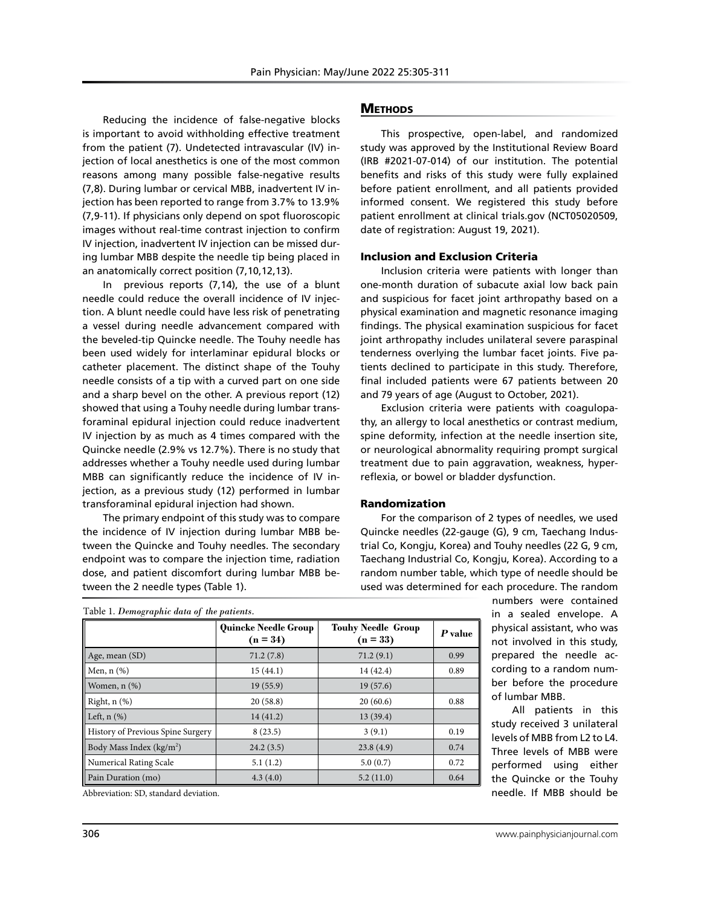Reducing the incidence of false-negative blocks is important to avoid withholding effective treatment from the patient (7). Undetected intravascular (IV) injection of local anesthetics is one of the most common reasons among many possible false-negative results (7,8). During lumbar or cervical MBB, inadvertent IV injection has been reported to range from 3.7% to 13.9% (7,9-11). If physicians only depend on spot fluoroscopic images without real-time contrast injection to confirm IV injection, inadvertent IV injection can be missed during lumbar MBB despite the needle tip being placed in an anatomically correct position (7,10,12,13).

In previous reports (7,14), the use of a blunt needle could reduce the overall incidence of IV injection. A blunt needle could have less risk of penetrating a vessel during needle advancement compared with the beveled-tip Quincke needle. The Touhy needle has been used widely for interlaminar epidural blocks or catheter placement. The distinct shape of the Touhy needle consists of a tip with a curved part on one side and a sharp bevel on the other. A previous report (12) showed that using a Touhy needle during lumbar transforaminal epidural injection could reduce inadvertent IV injection by as much as 4 times compared with the Quincke needle (2.9% vs 12.7%). There is no study that addresses whether a Touhy needle used during lumbar MBB can significantly reduce the incidence of IV injection, as a previous study (12) performed in lumbar transforaminal epidural injection had shown.

The primary endpoint of this study was to compare the incidence of IV injection during lumbar MBB between the Quincke and Touhy needles. The secondary endpoint was to compare the injection time, radiation dose, and patient discomfort during lumbar MBB between the 2 needle types (Table 1).

## **METHODS**

This prospective, open-label, and randomized study was approved by the Institutional Review Board (IRB #2021-07-014) of our institution. The potential benefits and risks of this study were fully explained before patient enrollment, and all patients provided informed consent. We registered this study before patient enrollment at clinical trials.gov (NCT05020509, date of registration: August 19, 2021).

#### Inclusion and Exclusion Criteria

Inclusion criteria were patients with longer than one-month duration of subacute axial low back pain and suspicious for facet joint arthropathy based on a physical examination and magnetic resonance imaging findings. The physical examination suspicious for facet joint arthropathy includes unilateral severe paraspinal tenderness overlying the lumbar facet joints. Five patients declined to participate in this study. Therefore, final included patients were 67 patients between 20 and 79 years of age (August to October, 2021).

Exclusion criteria were patients with coagulopathy, an allergy to local anesthetics or contrast medium, spine deformity, infection at the needle insertion site, or neurological abnormality requiring prompt surgical treatment due to pain aggravation, weakness, hyperreflexia, or bowel or bladder dysfunction.

#### Randomization

For the comparison of 2 types of needles, we used Quincke needles (22-gauge (G), 9 cm, Taechang Industrial Co, Kongju, Korea) and Touhy needles (22 G, 9 cm, Taechang Industrial Co, Kongju, Korea). According to a random number table, which type of needle should be used was determined for each procedure. The random

> numbers were contained in a sealed envelope. A physical assistant, who was not involved in this study, prepared the needle according to a random number before the procedure of lumbar MBB.

> All patients in this study received 3 unilateral levels of MBB from L2 to L4. Three levels of MBB were performed using either the Quincke or the Touhy needle. If MBB should be

|                                      | <b>Quincke Needle Group</b> | <b>Touhy Needle Group</b> | P value |
|--------------------------------------|-----------------------------|---------------------------|---------|
|                                      | $(n = 34)$                  | $(n = 33)$                |         |
| Age, mean (SD)                       | 71.2(7.8)                   | 71.2(9.1)                 | 0.99    |
| Men, $n$ $(\%)$                      | 15(44.1)                    | 14 (42.4)                 | 0.89    |
| Women, n (%)                         | 19(55.9)                    | 19(57.6)                  |         |
| Right, $n$ $(\%)$                    | 20(58.8)                    | 20(60.6)                  | 0.88    |
| Left, $n$ $(\%)$                     | 14(41.2)                    | 13(39.4)                  |         |
| History of Previous Spine Surgery    | 8(23.5)                     | 3(9.1)                    | 0.19    |
| Body Mass Index (kg/m <sup>2</sup> ) | 24.2(3.5)                   | 23.8(4.9)                 | 0.74    |
| <b>Numerical Rating Scale</b>        | 5.1(1.2)                    | 5.0(0.7)                  | 0.72    |
| Pain Duration (mo)                   | 4.3(4.0)                    | 5.2(11.0)                 | 0.64    |

Abbreviation: SD, standard deviation.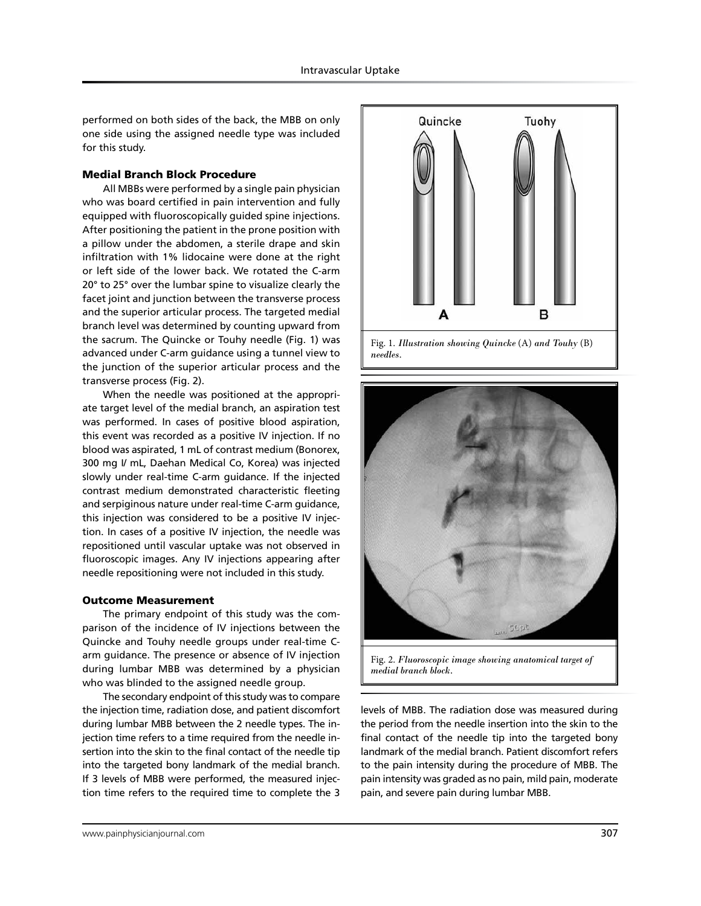performed on both sides of the back, the MBB on only one side using the assigned needle type was included for this study.

#### Medial Branch Block Procedure

All MBBs were performed by a single pain physician who was board certified in pain intervention and fully equipped with fluoroscopically guided spine injections. After positioning the patient in the prone position with a pillow under the abdomen, a sterile drape and skin infiltration with 1% lidocaine were done at the right or left side of the lower back. We rotated the C-arm 20° to 25° over the lumbar spine to visualize clearly the facet joint and junction between the transverse process and the superior articular process. The targeted medial branch level was determined by counting upward from the sacrum. The Quincke or Touhy needle (Fig. 1) was advanced under C-arm guidance using a tunnel view to the junction of the superior articular process and the transverse process (Fig. 2).

When the needle was positioned at the appropriate target level of the medial branch, an aspiration test was performed. In cases of positive blood aspiration, this event was recorded as a positive IV injection. If no blood was aspirated, 1 mL of contrast medium (Bonorex, 300 mg I/ mL, Daehan Medical Co, Korea) was injected slowly under real-time C-arm guidance. If the injected contrast medium demonstrated characteristic fleeting and serpiginous nature under real-time C-arm guidance, this injection was considered to be a positive IV injection. In cases of a positive IV injection, the needle was repositioned until vascular uptake was not observed in fluoroscopic images. Any IV injections appearing after needle repositioning were not included in this study.

## Outcome Measurement

The primary endpoint of this study was the comparison of the incidence of IV injections between the Quincke and Touhy needle groups under real-time Carm guidance. The presence or absence of IV injection during lumbar MBB was determined by a physician who was blinded to the assigned needle group.

The secondary endpoint of this study was to compare the injection time, radiation dose, and patient discomfort during lumbar MBB between the 2 needle types. The injection time refers to a time required from the needle insertion into the skin to the final contact of the needle tip into the targeted bony landmark of the medial branch. If 3 levels of MBB were performed, the measured injection time refers to the required time to complete the 3





Fig. 2. *Fluoroscopic image showing anatomical target of medial branch block.*

levels of MBB. The radiation dose was measured during the period from the needle insertion into the skin to the final contact of the needle tip into the targeted bony landmark of the medial branch. Patient discomfort refers to the pain intensity during the procedure of MBB. The pain intensity was graded as no pain, mild pain, moderate pain, and severe pain during lumbar MBB.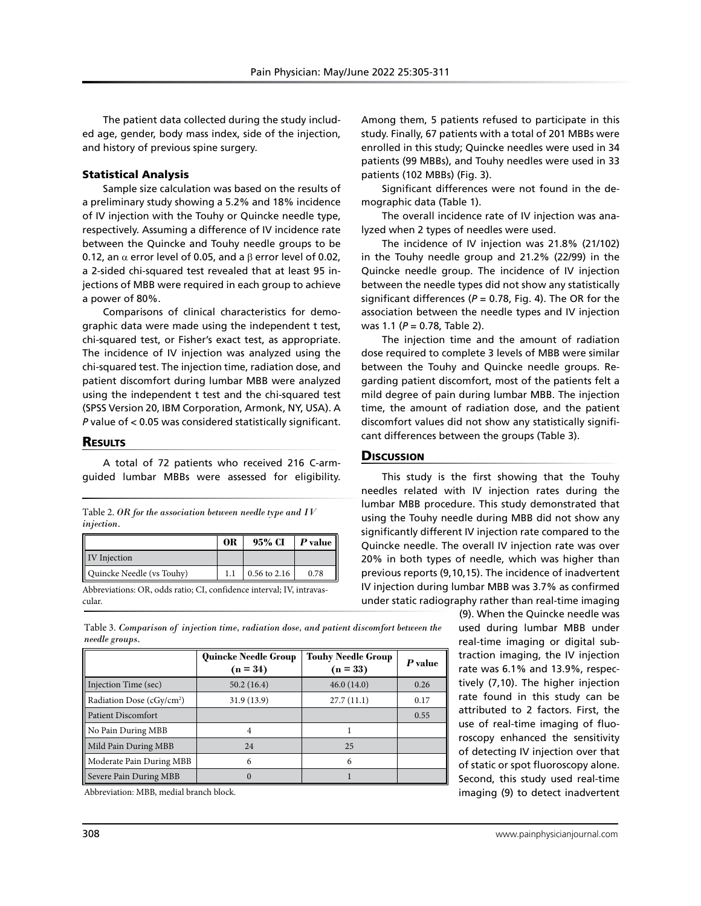The patient data collected during the study included age, gender, body mass index, side of the injection, and history of previous spine surgery.

### Statistical Analysis

Sample size calculation was based on the results of a preliminary study showing a 5.2% and 18% incidence of IV injection with the Touhy or Quincke needle type, respectively. Assuming a difference of IV incidence rate between the Quincke and Touhy needle groups to be 0.12, an  $\alpha$  error level of 0.05, and a  $\beta$  error level of 0.02, a 2-sided chi-squared test revealed that at least 95 injections of MBB were required in each group to achieve a power of 80%.

Comparisons of clinical characteristics for demographic data were made using the independent t test, chi-squared test, or Fisher's exact test, as appropriate. The incidence of IV injection was analyzed using the chi-squared test. The injection time, radiation dose, and patient discomfort during lumbar MBB were analyzed using the independent t test and the chi-squared test (SPSS Version 20, IBM Corporation, Armonk, NY, USA). A *P* value of < 0.05 was considered statistically significant.

## **RESULTS**

A total of 72 patients who received 216 C-armguided lumbar MBBs were assessed for eligibility.

Table 2. *OR for the association between needle type and IV injection.*

|                           | 0R | 95% CI         | $\bm{P}$ value $\parallel$ |
|---------------------------|----|----------------|----------------------------|
| <b>IV</b> Injection       |    |                |                            |
| Quincke Needle (vs Touhy) |    | $0.56$ to 2.16 | 0.78                       |

Abbreviations: OR, odds ratio; CI, confidence interval; IV, intravascular.

Among them, 5 patients refused to participate in this study. Finally, 67 patients with a total of 201 MBBs were enrolled in this study; Quincke needles were used in 34 patients (99 MBBs), and Touhy needles were used in 33 patients (102 MBBs) (Fig. 3).

Significant differences were not found in the demographic data (Table 1).

The overall incidence rate of IV injection was analyzed when 2 types of needles were used.

The incidence of IV injection was 21.8% (21/102) in the Touhy needle group and 21.2% (22/99) in the Quincke needle group. The incidence of IV injection between the needle types did not show any statistically significant differences ( $P = 0.78$ , Fig. 4). The OR for the association between the needle types and IV injection was 1.1 (*P* = 0.78, Table 2).

The injection time and the amount of radiation dose required to complete 3 levels of MBB were similar between the Touhy and Quincke needle groups. Regarding patient discomfort, most of the patients felt a mild degree of pain during lumbar MBB. The injection time, the amount of radiation dose, and the patient discomfort values did not show any statistically significant differences between the groups (Table 3).

## **Discussion**

This study is the first showing that the Touhy needles related with IV injection rates during the lumbar MBB procedure. This study demonstrated that using the Touhy needle during MBB did not show any significantly different IV injection rate compared to the Quincke needle. The overall IV injection rate was over 20% in both types of needle, which was higher than previous reports (9,10,15). The incidence of inadvertent IV injection during lumbar MBB was 3.7% as confirmed under static radiography rather than real-time imaging

(9). When the Quincke needle was used during lumbar MBB under real-time imaging or digital subtraction imaging, the IV injection rate was 6.1% and 13.9%, respectively (7,10). The higher injection rate found in this study can be attributed to 2 factors. First, the use of real-time imaging of fluoroscopy enhanced the sensitivity of detecting IV injection over that of static or spot fluoroscopy alone. Second, this study used real-time imaging (9) to detect inadvertent

Table 3. *Comparison of injection time, radiation dose, and patient discomfort between the needle groups.*

|                                       | <b>Quincke Needle Group</b><br>$(n = 34)$ | <b>Touhy Needle Group</b><br>$(n = 33)$ | P value |
|---------------------------------------|-------------------------------------------|-----------------------------------------|---------|
| Injection Time (sec)                  | 50.2(16.4)                                | 46.0(14.0)                              | 0.26    |
| Radiation Dose (cGy/cm <sup>2</sup> ) | 31.9 (13.9)                               | 27.7(11.1)                              | 0.17    |
| Patient Discomfort                    |                                           |                                         | 0.55    |
| No Pain During MBB                    |                                           |                                         |         |
| Mild Pain During MBB                  | 24                                        | 2.5                                     |         |
| Moderate Pain During MBB              | 6                                         | 6                                       |         |
| Severe Pain During MBB                | 0                                         |                                         |         |

Abbreviation: MBB, medial branch block.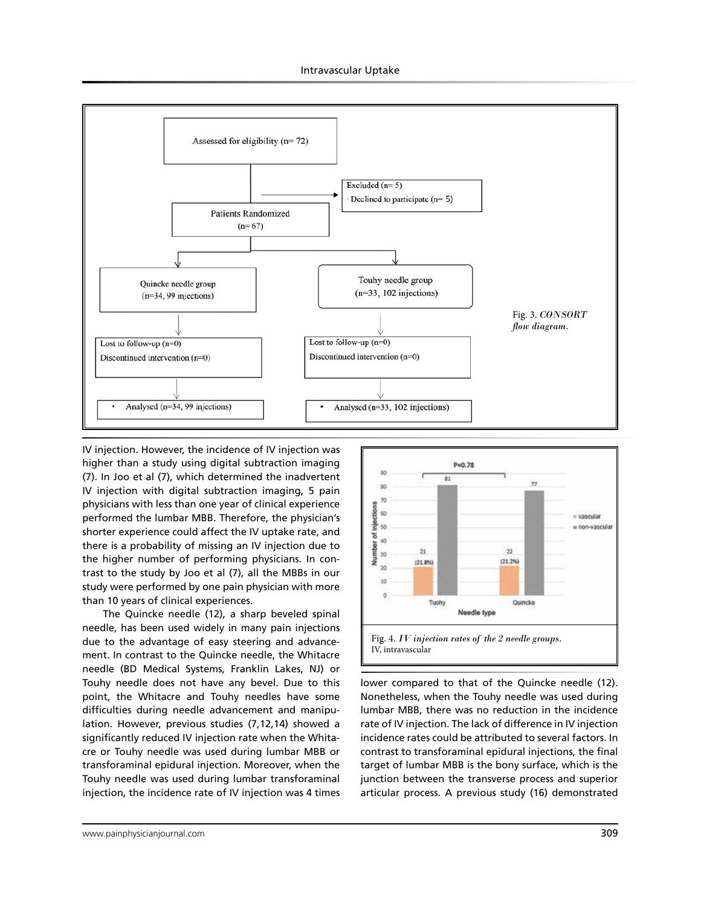

IV injection. However, the incidence of IV injection was higher than a study using digital subtraction imaging (7). In Joo et al (7), which determined the inadvertent IV injection with digital subtraction imaging, 5 pain physicians with less than one year of clinical experience performed the lumbar MBB. Therefore, the physician's shorter experience could affect the IV uptake rate, and there is a probability of missing an IV injection due to the higher number of performing physicians. In contrast to the study by Joo et al (7), all the MBBs in our study were performed by one pain physician with more than 10 years of clinical experiences.

The Quincke needle (12), a sharp beveled spinal needle, has been used widely in many pain injections due to the advantage of easy steering and advancement. In contrast to the Quincke needle, the Whitacre needle (BD Medical Systems, Franklin Lakes, NJ) or Touhy needle does not have any bevel. Due to this point, the Whitacre and Touhy needles have some difficulties during needle advancement and manipulation. However, previous studies (7,12,14) showed a significantly reduced IV injection rate when the Whitacre or Touhy needle was used during lumbar MBB or transforaminal epidural injection. Moreover, when the Touhy needle was used during lumbar transforaminal injection, the incidence rate of IV injection was 4 times



lower compared to that of the Quincke needle (12). Nonetheless, when the Touhy needle was used during lumbar MBB, there was no reduction in the incidence rate of IV injection. The lack of difference in IV injection incidence rates could be attributed to several factors. In contrast to transforaminal epidural injections, the final target of lumbar MBB is the bony surface, which is the junction between the transverse process and superior articular process. A previous study (16) demonstrated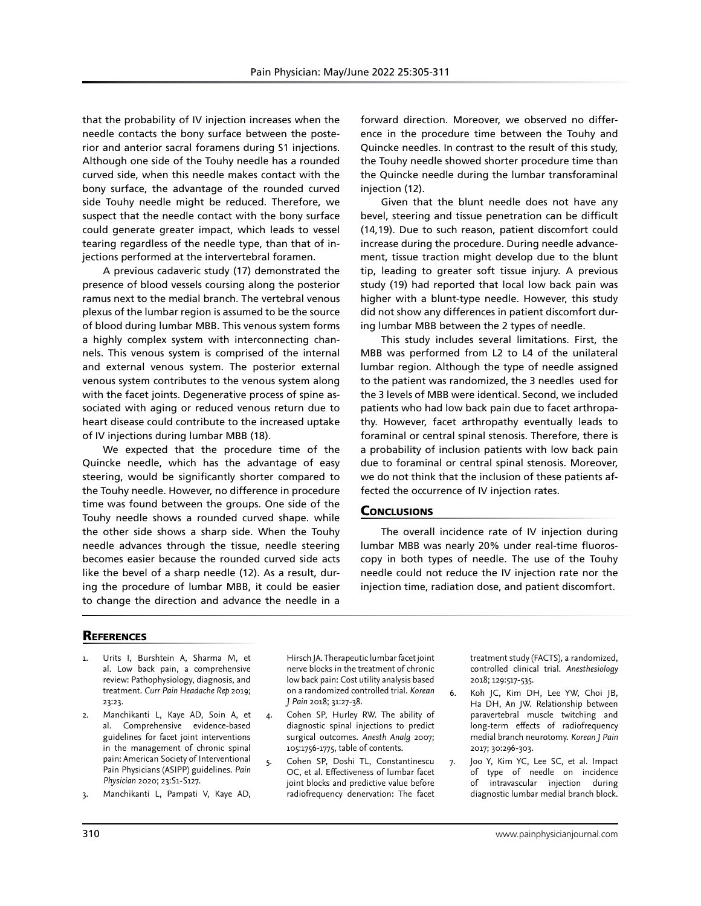that the probability of IV injection increases when the needle contacts the bony surface between the posterior and anterior sacral foramens during S1 injections. Although one side of the Touhy needle has a rounded curved side, when this needle makes contact with the bony surface, the advantage of the rounded curved side Touhy needle might be reduced. Therefore, we suspect that the needle contact with the bony surface could generate greater impact, which leads to vessel tearing regardless of the needle type, than that of injections performed at the intervertebral foramen.

A previous cadaveric study (17) demonstrated the presence of blood vessels coursing along the posterior ramus next to the medial branch. The vertebral venous plexus of the lumbar region is assumed to be the source of blood during lumbar MBB. This venous system forms a highly complex system with interconnecting channels. This venous system is comprised of the internal and external venous system. The posterior external venous system contributes to the venous system along with the facet joints. Degenerative process of spine associated with aging or reduced venous return due to heart disease could contribute to the increased uptake of IV injections during lumbar MBB (18).

We expected that the procedure time of the Quincke needle, which has the advantage of easy steering, would be significantly shorter compared to the Touhy needle. However, no difference in procedure time was found between the groups. One side of the Touhy needle shows a rounded curved shape. while the other side shows a sharp side. When the Touhy needle advances through the tissue, needle steering becomes easier because the rounded curved side acts like the bevel of a sharp needle (12). As a result, during the procedure of lumbar MBB, it could be easier to change the direction and advance the needle in a

forward direction. Moreover, we observed no difference in the procedure time between the Touhy and Quincke needles. In contrast to the result of this study, the Touhy needle showed shorter procedure time than the Quincke needle during the lumbar transforaminal injection (12).

Given that the blunt needle does not have any bevel, steering and tissue penetration can be difficult (14,19). Due to such reason, patient discomfort could increase during the procedure. During needle advancement, tissue traction might develop due to the blunt tip, leading to greater soft tissue injury. A previous study (19) had reported that local low back pain was higher with a blunt-type needle. However, this study did not show any differences in patient discomfort during lumbar MBB between the 2 types of needle.

This study includes several limitations. First, the MBB was performed from L2 to L4 of the unilateral lumbar region. Although the type of needle assigned to the patient was randomized, the 3 needles used for the 3 levels of MBB were identical. Second, we included patients who had low back pain due to facet arthropathy. However, facet arthropathy eventually leads to foraminal or central spinal stenosis. Therefore, there is a probability of inclusion patients with low back pain due to foraminal or central spinal stenosis. Moreover, we do not think that the inclusion of these patients affected the occurrence of IV injection rates.

## **CONCLUSIONS**

The overall incidence rate of IV injection during lumbar MBB was nearly 20% under real-time fluoroscopy in both types of needle. The use of the Touhy needle could not reduce the IV injection rate nor the injection time, radiation dose, and patient discomfort.

# **REFERENCES**

- Urits I, Burshtein A, Sharma M, et al. Low back pain, a comprehensive review: Pathophysiology, diagnosis, and treatment. *Curr Pain Headache Rep* 2019; 23:23.
- 2. Manchikanti L, Kaye AD, Soin A, et al. Comprehensive evidence-based guidelines for facet joint interventions in the management of chronic spinal pain: American Society of Interventional Pain Physicians (ASIPP) guidelines. *Pain Physician* 2020; 23:S1-S127.
- 3. Manchikanti L, Pampati V, Kaye AD,

Hirsch JA. Therapeutic lumbar facet joint nerve blocks in the treatment of chronic low back pain: Cost utility analysis based on a randomized controlled trial. *Korean J Pain* 2018; 31:27-38.

- 4. Cohen SP, Hurley RW. The ability of diagnostic spinal injections to predict surgical outcomes. *Anesth Analg* 2007; 105:1756-1775, table of contents.
- 5. Cohen SP, Doshi TL, Constantinescu OC, et al. Effectiveness of lumbar facet joint blocks and predictive value before radiofrequency denervation: The facet

treatment study (FACTS), a randomized, controlled clinical trial. *Anesthesiology* 2018; 129:517-535.

- 6. Koh JC, Kim DH, Lee YW, Choi JB, Ha DH, An JW. Relationship between paravertebral muscle twitching and long-term effects of radiofrequency medial branch neurotomy. *Korean J Pain* 2017; 30:296-303.
- 7. Joo Y, Kim YC, Lee SC, et al. Impact of type of needle on incidence of intravascular injection during diagnostic lumbar medial branch block.